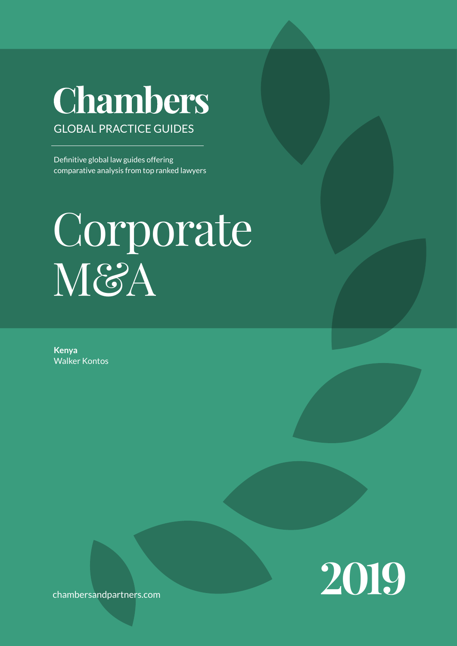## Chambers GLOBAL PRACTICE GUIDEs

Definitive global law guides offering comparative analysis from top ranked lawyers

# Corporate M&A

**Kenya** Walker Kontos



chambersandpartners.com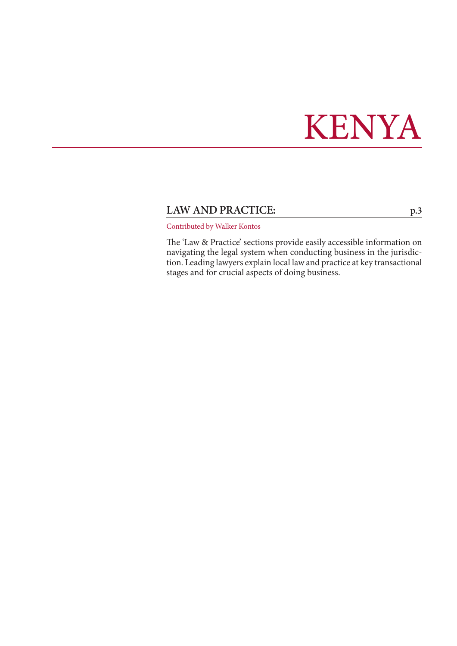## KENYA

## LAW AND PRACTICE: [p.3](#page-2-0)

Contributed by Walker Kontos

The 'Law & Practice' sections provide easily accessible information on navigating the legal system when conducting business in the jurisdiction. Leading lawyers explain local law and practice at key transactional stages and for crucial aspects of doing business.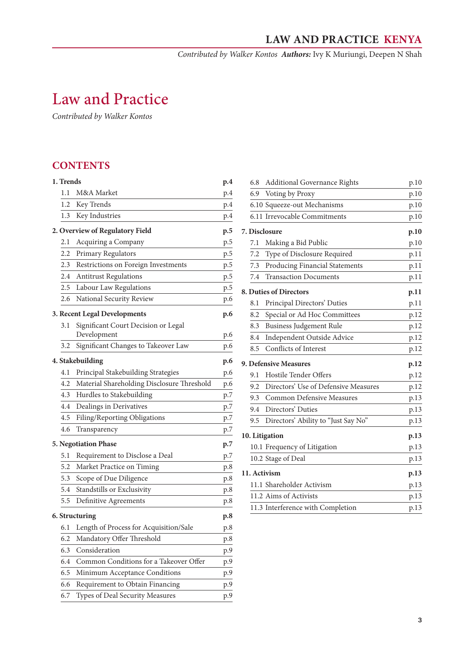*Contributed by Walker Kontos Authors:* Ivy K Muriungi, Deepen N Shah

## <span id="page-2-0"></span>Law and Practice

*Contributed by Walker Kontos*

## **CONTENTS**

| 1. Trends |                                            | p.4 |
|-----------|--------------------------------------------|-----|
| 1.1       | M&A Market                                 | p.4 |
| 1.2       | Key Trends                                 | p.4 |
| 1.3       | Key Industries                             | p.4 |
|           | 2. Overview of Regulatory Field            | p.5 |
| 2.1       | Acquiring a Company                        | p.5 |
| 2.2       | Primary Regulators                         | p.5 |
| 2.3       | Restrictions on Foreign Investments        | p.5 |
| 2.4       | <b>Antitrust Regulations</b>               | p.5 |
| 2.5       | Labour Law Regulations                     | p.5 |
| 2.6       | National Security Review                   | p.6 |
|           | 3. Recent Legal Developments               | p.6 |
| 3.1       | Significant Court Decision or Legal        |     |
|           | Development                                | p.6 |
| 3.2       | Significant Changes to Takeover Law        | p.6 |
|           | 4. Stakebuilding                           | p.6 |
| 4.1       | Principal Stakebuilding Strategies         | p.6 |
| 4.2       | Material Shareholding Disclosure Threshold | p.6 |
| 4.3       | Hurdles to Stakebuilding                   | p.7 |
| 4.4       | Dealings in Derivatives                    | p.7 |
| 4.5       | Filing/Reporting Obligations               | p.7 |
| 4.6       | Transparency                               | p.7 |
|           | 5. Negotiation Phase                       | p.7 |
| 5.1       | Requirement to Disclose a Deal             | p.7 |
| 5.2       | Market Practice on Timing                  | p.8 |
| 5.3       | Scope of Due Diligence                     | p.8 |
| 5.4       | Standstills or Exclusivity                 | p.8 |
| 5.5       | Definitive Agreements                      | p.8 |
|           | 6. Structuring                             | p.8 |
| 6.1       | Length of Process for Acquisition/Sale     | p.8 |
| 6.2       | Mandatory Offer Threshold                  | p.8 |
| 6.3       | Consideration                              | p.9 |
| 6.4       | Common Conditions for a Takeover Offer     | p.9 |
| 6.5       | Minimum Acceptance Conditions              | p.9 |
| 6.6       | Requirement to Obtain Financing            | p.9 |
| 6.7       | Types of Deal Security Measures            | p.9 |

| 6.8 | <b>Additional Governance Rights</b>  | p.10 |  |
|-----|--------------------------------------|------|--|
| 6.9 | Voting by Proxy                      | p.10 |  |
|     | 6.10 Squeeze-out Mechanisms          | p.10 |  |
|     | 6.11 Irrevocable Commitments         | p.10 |  |
|     | 7. Disclosure                        | p.10 |  |
| 7.1 | Making a Bid Public                  | p.10 |  |
| 7.2 | Type of Disclosure Required          | p.11 |  |
| 7.3 | Producing Financial Statements       | p.11 |  |
| 7.4 | <b>Transaction Documents</b>         | p.11 |  |
|     | 8. Duties of Directors               | p.11 |  |
| 8.1 | Principal Directors' Duties          | p.11 |  |
| 8.2 | Special or Ad Hoc Committees         | p.12 |  |
| 8.3 | <b>Business Judgement Rule</b>       | p.12 |  |
| 8.4 | Independent Outside Advice           | p.12 |  |
| 8.5 | Conflicts of Interest                | p.12 |  |
|     | 9. Defensive Measures                | p.12 |  |
| 9.1 | Hostile Tender Offers                | p.12 |  |
| 9.2 | Directors' Use of Defensive Measures | p.12 |  |
| 9.3 | <b>Common Defensive Measures</b>     | p.13 |  |
| 9.4 | Directors' Duties                    | p.13 |  |
| 9.5 | Directors' Ability to "Just Say No"  | p.13 |  |
|     | 10. Litigation                       |      |  |
|     | 10.1 Frequency of Litigation         | p.13 |  |
|     | 10.2 Stage of Deal                   | p.13 |  |
|     | 11. Activism                         | p.13 |  |
|     | 11.1 Shareholder Activism            | p.13 |  |
|     | 11.2 Aims of Activists               | p.13 |  |
|     | 11.3 Interference with Completion    | p.13 |  |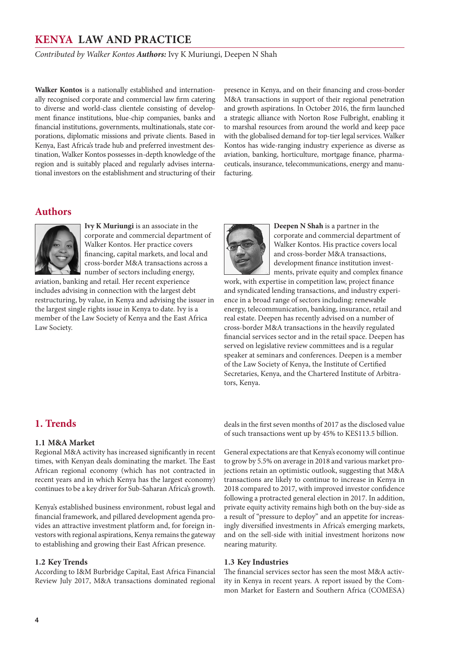<span id="page-3-0"></span>*Contributed by Walker Kontos Authors:* Ivy K Muriungi, Deepen N Shah

**Walker Kontos** is a nationally established and internationally recognised corporate and commercial law firm catering to diverse and world-class clientele consisting of development finance institutions, blue-chip companies, banks and financial institutions, governments, multinationals, state corporations, diplomatic missions and private clients. Based in Kenya, East Africa's trade hub and preferred investment destination, Walker Kontos possesses in-depth knowledge of the region and is suitably placed and regularly advises international investors on the establishment and structuring of their presence in Kenya, and on their financing and cross-border M&A transactions in support of their regional penetration and growth aspirations. In October 2016, the firm launched a strategic alliance with Norton Rose Fulbright, enabling it to marshal resources from around the world and keep pace with the globalised demand for top-tier legal services. Walker Kontos has wide-ranging industry experience as diverse as aviation, banking, horticulture, mortgage finance, pharmaceuticals, insurance, telecommunications, energy and manufacturing.

## **Authors**



**Ivy K Muriungi** is an associate in the corporate and commercial department of Walker Kontos. Her practice covers financing, capital markets, and local and cross-border M&A transactions across a number of sectors including energy,

aviation, banking and retail. Her recent experience includes advising in connection with the largest debt restructuring, by value, in Kenya and advising the issuer in the largest single rights issue in Kenya to date. Ivy is a member of the Law Society of Kenya and the East Africa Law Society.



**Deepen N Shah** is a partner in the corporate and commercial department of Walker Kontos. His practice covers local and cross-border M&A transactions, development finance institution investments, private equity and complex finance

work, with expertise in competition law, project finance and syndicated lending transactions, and industry experience in a broad range of sectors including: renewable energy, telecommunication, banking, insurance, retail and real estate. Deepen has recently advised on a number of cross-border M&A transactions in the heavily regulated financial services sector and in the retail space. Deepen has served on legislative review committees and is a regular speaker at seminars and conferences. Deepen is a member of the Law Society of Kenya, the Institute of Certified Secretaries, Kenya, and the Chartered Institute of Arbitrators, Kenya.

## **1. Trends**

#### **1.1 M&A Market**

Regional M&A activity has increased significantly in recent times, with Kenyan deals dominating the market. The East African regional economy (which has not contracted in recent years and in which Kenya has the largest economy) continues to be a key driver for Sub-Saharan Africa's growth.

Kenya's established business environment, robust legal and financial framework, and pillared development agenda provides an attractive investment platform and, for foreign investors with regional aspirations, Kenya remains the gateway to establishing and growing their East African presence.

#### **1.2 Key Trends**

According to I&M Burbridge Capital, East Africa Financial Review July 2017, M&A transactions dominated regional deals in the first seven months of 2017 as the disclosed value of such transactions went up by 45% to KES113.5 billion.

General expectations are that Kenya's economy will continue to grow by 5.5% on average in 2018 and various market projections retain an optimistic outlook, suggesting that M&A transactions are likely to continue to increase in Kenya in 2018 compared to 2017, with improved investor confidence following a protracted general election in 2017. In addition, private equity activity remains high both on the buy-side as a result of "pressure to deploy" and an appetite for increasingly diversified investments in Africa's emerging markets, and on the sell-side with initial investment horizons now nearing maturity.

#### **1.3 Key Industries**

The financial services sector has seen the most M&A activity in Kenya in recent years. A report issued by the Common Market for Eastern and Southern Africa (COMESA)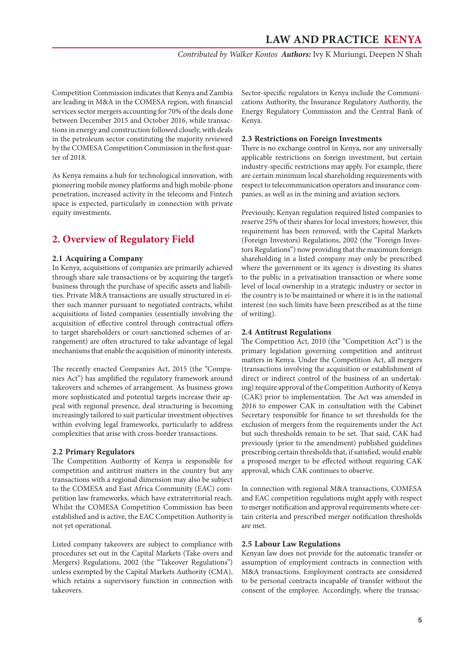*Contributed by Walker Kontos Authors:* Ivy K Muriungi, Deepen N Shah

<span id="page-4-0"></span>Competition Commission indicates that Kenya and Zambia are leading in M&A in the COMESA region, with financial services sector mergers accounting for 70% of the deals done between December 2015 and October 2016, while transactions in energy and construction followed closely, with deals in the petroleum sector constituting the majority reviewed by the COMESA Competition Commission in the first quarter of 2018.

As Kenya remains a hub for technological innovation, with pioneering mobile money platforms and high mobile-phone penetration, increased activity in the telecoms and Fintech space is expected, particularly in connection with private equity investments.

## **2. Overview of Regulatory Field**

#### **2.1 Acquiring a Company**

In Kenya, acquisitions of companies are primarily achieved through share sale transactions or by acquiring the target's business through the purchase of specific assets and liabilities. Private M&A transactions are usually structured in either such manner pursuant to negotiated contracts, whilst acquisitions of listed companies (essentially involving the acquisition of effective control through contractual offers to target shareholders or court-sanctioned schemes of arrangement) are often structured to take advantage of legal mechanisms that enable the acquisition of minority interests.

The recently enacted Companies Act, 2015 (the "Companies Act") has amplified the regulatory framework around takeovers and schemes of arrangement. As business grows more sophisticated and potential targets increase their appeal with regional presence, deal structuring is becoming increasingly tailored to suit particular investment objectives within evolving legal frameworks, particularly to address complexities that arise with cross-border transactions.

#### **2.2 Primary Regulators**

The Competition Authority of Kenya is responsible for competition and antitrust matters in the country but any transactions with a regional dimension may also be subject to the COMESA and East Africa Community (EAC) competition law frameworks, which have extraterritorial reach. Whilst the COMESA Competition Commission has been established and is active, the EAC Competition Authority is not yet operational.

Listed company takeovers are subject to compliance with procedures set out in the Capital Markets (Take-overs and Mergers) Regulations, 2002 (the "Takeover Regulations") unless exempted by the Capital Markets Authority (CMA), which retains a supervisory function in connection with takeovers.

Sector-specific regulators in Kenya include the Communications Authority, the Insurance Regulatory Authority, the Energy Regulatory Commission and the Central Bank of Kenya.

#### **2.3 Restrictions on Foreign Investments**

There is no exchange control in Kenya, nor any universally applicable restrictions on foreign investment, but certain industry-specific restrictions may apply. For example, there are certain minimum local shareholding requirements with respect to telecommunication operators and insurance companies, as well as in the mining and aviation sectors.

Previously, Kenyan regulation required listed companies to reserve 25% of their shares for local investors; however, this requirement has been removed, with the Capital Markets (Foreign Investors) Regulations, 2002 (the "Foreign Investors Regulations") now providing that the maximum foreign shareholding in a listed company may only be prescribed where the government or its agency is divesting its shares to the public in a privatisation transaction or where some level of local ownership in a strategic industry or sector in the country is to be maintained or where it is in the national interest (no such limits have been prescribed as at the time of writing).

#### **2.4 Antitrust Regulations**

The Competition Act, 2010 (the "Competition Act") is the primary legislation governing competition and antitrust matters in Kenya. Under the Competition Act, all mergers (transactions involving the acquisition or establishment of direct or indirect control of the business of an undertaking) require approval of the Competition Authority of Kenya (CAK) prior to implementation. The Act was amended in 2016 to empower CAK in consultation with the Cabinet Secretary responsible for finance to set thresholds for the exclusion of mergers from the requirements under the Act but such thresholds remain to be set. That said, CAK had previously (prior to the amendment) published guidelines prescribing certain thresholds that, if satisfied, would enable a proposed merger to be effected without requiring CAK approval, which CAK continues to observe.

In connection with regional M&A transactions, COMESA and EAC competition regulations might apply with respect to merger notification and approval requirements where certain criteria and prescribed merger notification thresholds are met.

#### **2.5 Labour Law Regulations**

Kenyan law does not provide for the automatic transfer or assumption of employment contracts in connection with M&A transactions. Employment contracts are considered to be personal contracts incapable of transfer without the consent of the employee. Accordingly, where the transac-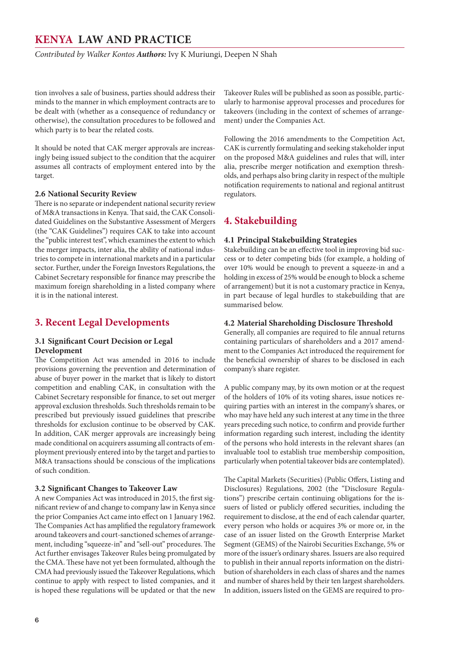<span id="page-5-0"></span>*Contributed by Walker Kontos Authors:* Ivy K Muriungi, Deepen N Shah

tion involves a sale of business, parties should address their minds to the manner in which employment contracts are to be dealt with (whether as a consequence of redundancy or otherwise), the consultation procedures to be followed and which party is to bear the related costs.

It should be noted that CAK merger approvals are increasingly being issued subject to the condition that the acquirer assumes all contracts of employment entered into by the target.

#### **2.6 National Security Review**

There is no separate or independent national security review of M&A transactions in Kenya. That said, the CAK Consolidated Guidelines on the Substantive Assessment of Mergers (the "CAK Guidelines") requires CAK to take into account the "public interest test", which examines the extent to which the merger impacts, inter alia, the ability of national industries to compete in international markets and in a particular sector. Further, under the Foreign Investors Regulations, the Cabinet Secretary responsible for finance may prescribe the maximum foreign shareholding in a listed company where it is in the national interest.

#### **3. Recent Legal Developments**

#### **3.1 Significant Court Decision or Legal Development**

The Competition Act was amended in 2016 to include provisions governing the prevention and determination of abuse of buyer power in the market that is likely to distort competition and enabling CAK, in consultation with the Cabinet Secretary responsible for finance, to set out merger approval exclusion thresholds. Such thresholds remain to be prescribed but previously issued guidelines that prescribe thresholds for exclusion continue to be observed by CAK. In addition, CAK merger approvals are increasingly being made conditional on acquirers assuming all contracts of employment previously entered into by the target and parties to M&A transactions should be conscious of the implications of such condition.

#### **3.2 Significant Changes to Takeover Law**

A new Companies Act was introduced in 2015, the first significant review of and change to company law in Kenya since the prior Companies Act came into effect on 1 January 1962. The Companies Act has amplified the regulatory framework around takeovers and court-sanctioned schemes of arrangement, including "squeeze-in" and "sell-out" procedures. The Act further envisages Takeover Rules being promulgated by the CMA. These have not yet been formulated, although the CMA had previously issued the Takeover Regulations, which continue to apply with respect to listed companies, and it is hoped these regulations will be updated or that the new

Takeover Rules will be published as soon as possible, particularly to harmonise approval processes and procedures for takeovers (including in the context of schemes of arrangement) under the Companies Act.

Following the 2016 amendments to the Competition Act, CAK is currently formulating and seeking stakeholder input on the proposed M&A guidelines and rules that will, inter alia, prescribe merger notification and exemption thresholds, and perhaps also bring clarity in respect of the multiple notification requirements to national and regional antitrust regulators.

## **4. Stakebuilding**

#### **4.1 Principal Stakebuilding Strategies**

Stakebuilding can be an effective tool in improving bid success or to deter competing bids (for example, a holding of over 10% would be enough to prevent a squeeze-in and a holding in excess of 25% would be enough to block a scheme of arrangement) but it is not a customary practice in Kenya, in part because of legal hurdles to stakebuilding that are summarised below.

#### **4.2 Material Shareholding Disclosure Threshold**

Generally, all companies are required to file annual returns containing particulars of shareholders and a 2017 amendment to the Companies Act introduced the requirement for the beneficial ownership of shares to be disclosed in each company's share register.

A public company may, by its own motion or at the request of the holders of 10% of its voting shares, issue notices requiring parties with an interest in the company's shares, or who may have held any such interest at any time in the three years preceding such notice, to confirm and provide further information regarding such interest, including the identity of the persons who hold interests in the relevant shares (an invaluable tool to establish true membership composition, particularly when potential takeover bids are contemplated).

The Capital Markets (Securities) (Public Offers, Listing and Disclosures) Regulations, 2002 (the "Disclosure Regulations") prescribe certain continuing obligations for the issuers of listed or publicly offered securities, including the requirement to disclose, at the end of each calendar quarter, every person who holds or acquires 3% or more or, in the case of an issuer listed on the Growth Enterprise Market Segment (GEMS) of the Nairobi Securities Exchange, 5% or more of the issuer's ordinary shares. Issuers are also required to publish in their annual reports information on the distribution of shareholders in each class of shares and the names and number of shares held by their ten largest shareholders. In addition, issuers listed on the GEMS are required to pro-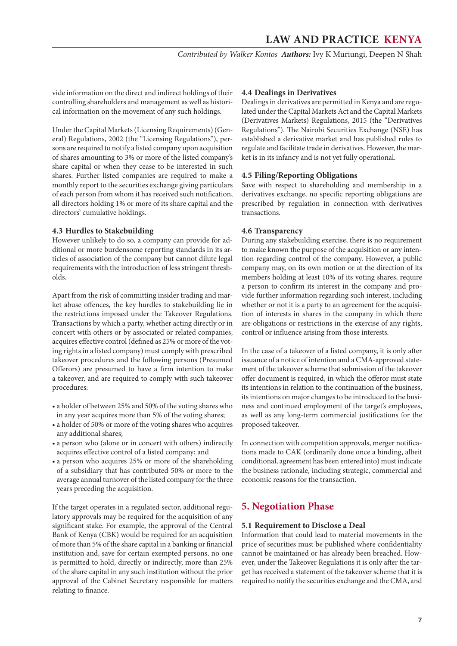*Contributed by Walker Kontos Authors:* Ivy K Muriungi, Deepen N Shah

<span id="page-6-0"></span>vide information on the direct and indirect holdings of their controlling shareholders and management as well as historical information on the movement of any such holdings.

Under the Capital Markets (Licensing Requirements) (General) Regulations, 2002 (the "Licensing Regulations"), persons are required to notify a listed company upon acquisition of shares amounting to 3% or more of the listed company's share capital or when they cease to be interested in such shares. Further listed companies are required to make a monthly report to the securities exchange giving particulars of each person from whom it has received such notification, all directors holding 1% or more of its share capital and the directors' cumulative holdings.

#### **4.3 Hurdles to Stakebuilding**

However unlikely to do so, a company can provide for additional or more burdensome reporting standards in its articles of association of the company but cannot dilute legal requirements with the introduction of less stringent thresholds.

Apart from the risk of committing insider trading and market abuse offences, the key hurdles to stakebuilding lie in the restrictions imposed under the Takeover Regulations. Transactions by which a party, whether acting directly or in concert with others or by associated or related companies, acquires effective control (defined as 25% or more of the voting rights in a listed company) must comply with prescribed takeover procedures and the following persons (Presumed Offerors) are presumed to have a firm intention to make a takeover, and are required to comply with such takeover procedures:

- a holder of between 25% and 50% of the voting shares who in any year acquires more than 5% of the voting shares;
- a holder of 50% or more of the voting shares who acquires any additional shares;
- a person who (alone or in concert with others) indirectly acquires effective control of a listed company; and
- a person who acquires 25% or more of the shareholding of a subsidiary that has contributed 50% or more to the average annual turnover of the listed company for the three years preceding the acquisition.

If the target operates in a regulated sector, additional regulatory approvals may be required for the acquisition of any significant stake. For example, the approval of the Central Bank of Kenya (CBK) would be required for an acquisition of more than 5% of the share capital in a banking or financial institution and, save for certain exempted persons, no one is permitted to hold, directly or indirectly, more than 25% of the share capital in any such institution without the prior approval of the Cabinet Secretary responsible for matters relating to finance.

#### **4.4 Dealings in Derivatives**

Dealings in derivatives are permitted in Kenya and are regulated under the Capital Markets Act and the Capital Markets (Derivatives Markets) Regulations, 2015 (the "Derivatives Regulations"). The Nairobi Securities Exchange (NSE) has established a derivative market and has published rules to regulate and facilitate trade in derivatives. However, the market is in its infancy and is not yet fully operational.

#### **4.5 Filing/Reporting Obligations**

Save with respect to shareholding and membership in a derivatives exchange, no specific reporting obligations are prescribed by regulation in connection with derivatives transactions.

#### **4.6 Transparency**

During any stakebuilding exercise, there is no requirement to make known the purpose of the acquisition or any intention regarding control of the company. However, a public company may, on its own motion or at the direction of its members holding at least 10% of its voting shares, require a person to confirm its interest in the company and provide further information regarding such interest, including whether or not it is a party to an agreement for the acquisition of interests in shares in the company in which there are obligations or restrictions in the exercise of any rights, control or influence arising from those interests.

In the case of a takeover of a listed company, it is only after issuance of a notice of intention and a CMA-approved statement of the takeover scheme that submission of the takeover offer document is required, in which the offeror must state its intentions in relation to the continuation of the business, its intentions on major changes to be introduced to the business and continued employment of the target's employees, as well as any long-term commercial justifications for the proposed takeover.

In connection with competition approvals, merger notifications made to CAK (ordinarily done once a binding, albeit conditional, agreement has been entered into) must indicate the business rationale, including strategic, commercial and economic reasons for the transaction.

#### **5. Negotiation Phase**

#### **5.1 Requirement to Disclose a Deal**

Information that could lead to material movements in the price of securities must be published where confidentiality cannot be maintained or has already been breached. However, under the Takeover Regulations it is only after the target has received a statement of the takeover scheme that it is required to notify the securities exchange and the CMA, and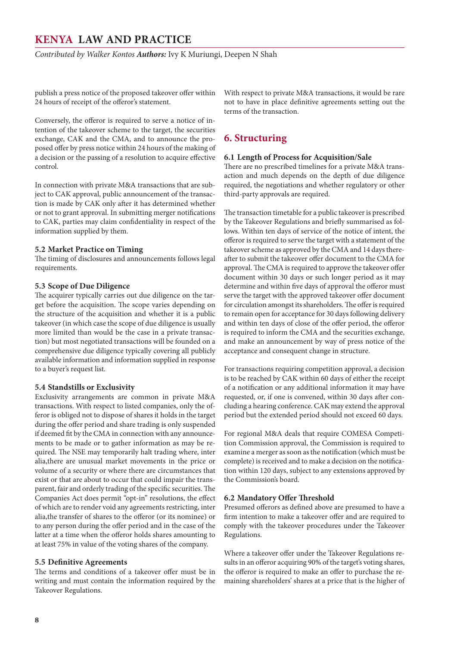<span id="page-7-0"></span>*Contributed by Walker Kontos Authors:* Ivy K Muriungi, Deepen N Shah

publish a press notice of the proposed takeover offer within 24 hours of receipt of the offeror's statement.

Conversely, the offeror is required to serve a notice of intention of the takeover scheme to the target, the securities exchange, CAK and the CMA, and to announce the proposed offer by press notice within 24 hours of the making of a decision or the passing of a resolution to acquire effective control.

In connection with private M&A transactions that are subject to CAK approval, public announcement of the transaction is made by CAK only after it has determined whether or not to grant approval. In submitting merger notifications to CAK, parties may claim confidentiality in respect of the information supplied by them.

#### **5.2 Market Practice on Timing**

The timing of disclosures and announcements follows legal requirements.

#### **5.3 Scope of Due Diligence**

The acquirer typically carries out due diligence on the target before the acquisition. The scope varies depending on the structure of the acquisition and whether it is a public takeover (in which case the scope of due diligence is usually more limited than would be the case in a private transaction) but most negotiated transactions will be founded on a comprehensive due diligence typically covering all publicly available information and information supplied in response to a buyer's request list.

#### **5.4 Standstills or Exclusivity**

Exclusivity arrangements are common in private M&A transactions. With respect to listed companies, only the offeror is obliged not to dispose of shares it holds in the target during the offer period and share trading is only suspended if deemed fit by the CMA in connection with any announcements to be made or to gather information as may be required. The NSE may temporarily halt trading where, inter alia,there are unusual market movements in the price or volume of a security or where there are circumstances that exist or that are about to occur that could impair the transparent, fair and orderly trading of the specific securities. The Companies Act does permit "opt-in" resolutions, the effect of which are to render void any agreements restricting, inter alia,the transfer of shares to the offeror (or its nominee) or to any person during the offer period and in the case of the latter at a time when the offeror holds shares amounting to at least 75% in value of the voting shares of the company.

#### **5.5 Definitive Agreements**

The terms and conditions of a takeover offer must be in writing and must contain the information required by the Takeover Regulations.

With respect to private M&A transactions, it would be rare not to have in place definitive agreements setting out the terms of the transaction.

#### **6. Structuring**

#### **6.1 Length of Process for Acquisition/Sale**

There are no prescribed timelines for a private M&A transaction and much depends on the depth of due diligence required, the negotiations and whether regulatory or other third-party approvals are required.

The transaction timetable for a public takeover is prescribed by the Takeover Regulations and briefly summarised as follows. Within ten days of service of the notice of intent, the offeror is required to serve the target with a statement of the takeover scheme as approved by the CMA and 14 days thereafter to submit the takeover offer document to the CMA for approval. The CMA is required to approve the takeover offer document within 30 days or such longer period as it may determine and within five days of approval the offeror must serve the target with the approved takeover offer document for circulation amongst its shareholders. The offer is required to remain open for acceptance for 30 days following delivery and within ten days of close of the offer period, the offeror is required to inform the CMA and the securities exchange, and make an announcement by way of press notice of the acceptance and consequent change in structure.

For transactions requiring competition approval, a decision is to be reached by CAK within 60 days of either the receipt of a notification or any additional information it may have requested, or, if one is convened, within 30 days after concluding a hearing conference. CAK may extend the approval period but the extended period should not exceed 60 days.

For regional M&A deals that require COMESA Competition Commission approval, the Commission is required to examine a merger as soon as the notification (which must be complete) is received and to make a decision on the notification within 120 days, subject to any extensions approved by the Commission's board.

#### **6.2 Mandatory Offer Threshold**

Presumed offerors as defined above are presumed to have a firm intention to make a takeover offer and are required to comply with the takeover procedures under the Takeover Regulations.

Where a takeover offer under the Takeover Regulations results in an offeror acquiring 90% of the target's voting shares, the offeror is required to make an offer to purchase the remaining shareholders' shares at a price that is the higher of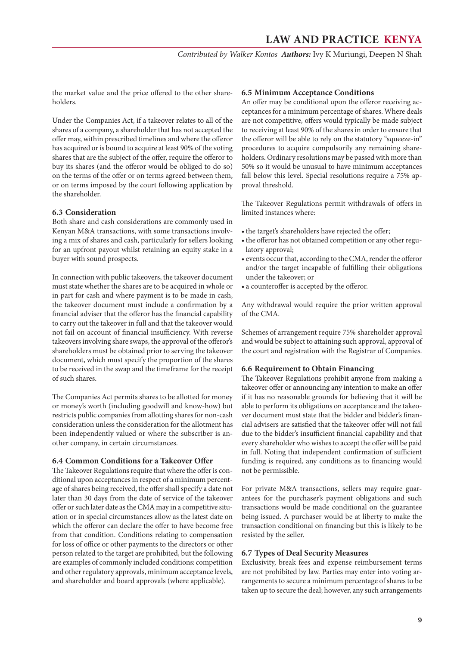*Contributed by Walker Kontos Authors:* Ivy K Muriungi, Deepen N Shah

<span id="page-8-0"></span>the market value and the price offered to the other shareholders.

Under the Companies Act, if a takeover relates to all of the shares of a company, a shareholder that has not accepted the offer may, within prescribed timelines and where the offeror has acquired or is bound to acquire at least 90% of the voting shares that are the subject of the offer, require the offeror to buy its shares (and the offeror would be obliged to do so) on the terms of the offer or on terms agreed between them, or on terms imposed by the court following application by the shareholder.

#### **6.3 Consideration**

Both share and cash considerations are commonly used in Kenyan M&A transactions, with some transactions involving a mix of shares and cash, particularly for sellers looking for an upfront payout whilst retaining an equity stake in a buyer with sound prospects.

In connection with public takeovers, the takeover document must state whether the shares are to be acquired in whole or in part for cash and where payment is to be made in cash, the takeover document must include a confirmation by a financial adviser that the offeror has the financial capability to carry out the takeover in full and that the takeover would not fail on account of financial insufficiency. With reverse takeovers involving share swaps, the approval of the offeror's shareholders must be obtained prior to serving the takeover document, which must specify the proportion of the shares to be received in the swap and the timeframe for the receipt of such shares.

The Companies Act permits shares to be allotted for money or money's worth (including goodwill and know-how) but restricts public companies from allotting shares for non-cash consideration unless the consideration for the allotment has been independently valued or where the subscriber is another company, in certain circumstances.

#### **6.4 Common Conditions for a Takeover Offer**

The Takeover Regulations require that where the offer is conditional upon acceptances in respect of a minimum percentage of shares being received, the offer shall specify a date not later than 30 days from the date of service of the takeover offer or such later date as the CMA may in a competitive situation or in special circumstances allow as the latest date on which the offeror can declare the offer to have become free from that condition. Conditions relating to compensation for loss of office or other payments to the directors or other person related to the target are prohibited, but the following are examples of commonly included conditions: competition and other regulatory approvals, minimum acceptance levels, and shareholder and board approvals (where applicable).

#### **6.5 Minimum Acceptance Conditions**

An offer may be conditional upon the offeror receiving acceptances for a minimum percentage of shares. Where deals are not competitive, offers would typically be made subject to receiving at least 90% of the shares in order to ensure that the offeror will be able to rely on the statutory "squeeze-in" procedures to acquire compulsorily any remaining shareholders. Ordinary resolutions may be passed with more than 50% so it would be unusual to have minimum acceptances fall below this level. Special resolutions require a 75% approval threshold.

The Takeover Regulations permit withdrawals of offers in limited instances where:

- the target's shareholders have rejected the offer;
- the offeror has not obtained competition or any other regulatory approval;
- events occur that, according to the CMA, render the offeror and/or the target incapable of fulfilling their obligations under the takeover; or
- a counteroffer is accepted by the offeror.

Any withdrawal would require the prior written approval of the CMA.

Schemes of arrangement require 75% shareholder approval and would be subject to attaining such approval, approval of the court and registration with the Registrar of Companies.

#### **6.6 Requirement to Obtain Financing**

The Takeover Regulations prohibit anyone from making a takeover offer or announcing any intention to make an offer if it has no reasonable grounds for believing that it will be able to perform its obligations on acceptance and the takeover document must state that the bidder and bidder's financial advisers are satisfied that the takeover offer will not fail due to the bidder's insufficient financial capability and that every shareholder who wishes to accept the offer will be paid in full. Noting that independent confirmation of sufficient funding is required, any conditions as to financing would not be permissible.

For private M&A transactions, sellers may require guarantees for the purchaser's payment obligations and such transactions would be made conditional on the guarantee being issued. A purchaser would be at liberty to make the transaction conditional on financing but this is likely to be resisted by the seller.

#### **6.7 Types of Deal Security Measures**

Exclusivity, break fees and expense reimbursement terms are not prohibited by law. Parties may enter into voting arrangements to secure a minimum percentage of shares to be taken up to secure the deal; however, any such arrangements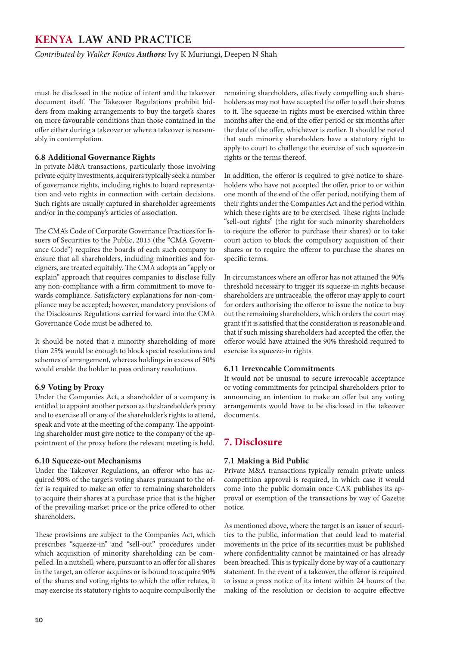<span id="page-9-0"></span>*Contributed by Walker Kontos Authors:* Ivy K Muriungi, Deepen N Shah

must be disclosed in the notice of intent and the takeover document itself. The Takeover Regulations prohibit bidders from making arrangements to buy the target's shares on more favourable conditions than those contained in the offer either during a takeover or where a takeover is reasonably in contemplation.

#### **6.8 Additional Governance Rights**

In private M&A transactions, particularly those involving private equity investments, acquirers typically seek a number of governance rights, including rights to board representation and veto rights in connection with certain decisions. Such rights are usually captured in shareholder agreements and/or in the company's articles of association.

The CMA's Code of Corporate Governance Practices for Issuers of Securities to the Public, 2015 (the "CMA Governance Code") requires the boards of each such company to ensure that all shareholders, including minorities and foreigners, are treated equitably. The CMA adopts an "apply or explain" approach that requires companies to disclose fully any non-compliance with a firm commitment to move towards compliance. Satisfactory explanations for non-compliance may be accepted; however, mandatory provisions of the Disclosures Regulations carried forward into the CMA Governance Code must be adhered to.

It should be noted that a minority shareholding of more than 25% would be enough to block special resolutions and schemes of arrangement, whereas holdings in excess of 50% would enable the holder to pass ordinary resolutions.

#### **6.9 Voting by Proxy**

Under the Companies Act, a shareholder of a company is entitled to appoint another person as the shareholder's proxy and to exercise all or any of the shareholder's rights to attend, speak and vote at the meeting of the company. The appointing shareholder must give notice to the company of the appointment of the proxy before the relevant meeting is held.

#### **6.10 Squeeze-out Mechanisms**

Under the Takeover Regulations, an offeror who has acquired 90% of the target's voting shares pursuant to the offer is required to make an offer to remaining shareholders to acquire their shares at a purchase price that is the higher of the prevailing market price or the price offered to other shareholders.

These provisions are subject to the Companies Act, which prescribes "squeeze-in" and "sell-out" procedures under which acquisition of minority shareholding can be compelled. In a nutshell, where, pursuant to an offer for all shares in the target, an offeror acquires or is bound to acquire 90% of the shares and voting rights to which the offer relates, it may exercise its statutory rights to acquire compulsorily the

remaining shareholders, effectively compelling such shareholders as may not have accepted the offer to sell their shares to it. The squeeze-in rights must be exercised within three months after the end of the offer period or six months after the date of the offer, whichever is earlier. It should be noted that such minority shareholders have a statutory right to apply to court to challenge the exercise of such squeeze-in rights or the terms thereof.

In addition, the offeror is required to give notice to shareholders who have not accepted the offer, prior to or within one month of the end of the offer period, notifying them of their rights under the Companies Act and the period within which these rights are to be exercised. These rights include "sell-out rights" (the right for such minority shareholders to require the offeror to purchase their shares) or to take court action to block the compulsory acquisition of their shares or to require the offeror to purchase the shares on specific terms.

In circumstances where an offeror has not attained the 90% threshold necessary to trigger its squeeze-in rights because shareholders are untraceable, the offeror may apply to court for orders authorising the offeror to issue the notice to buy out the remaining shareholders, which orders the court may grant if it is satisfied that the consideration is reasonable and that if such missing shareholders had accepted the offer, the offeror would have attained the 90% threshold required to exercise its squeeze-in rights.

#### **6.11 Irrevocable Commitments**

It would not be unusual to secure irrevocable acceptance or voting commitments for principal shareholders prior to announcing an intention to make an offer but any voting arrangements would have to be disclosed in the takeover documents.

#### **7. Disclosure**

#### **7.1 Making a Bid Public**

Private M&A transactions typically remain private unless competition approval is required, in which case it would come into the public domain once CAK publishes its approval or exemption of the transactions by way of Gazette notice.

As mentioned above, where the target is an issuer of securities to the public, information that could lead to material movements in the price of its securities must be published where confidentiality cannot be maintained or has already been breached. This is typically done by way of a cautionary statement. In the event of a takeover, the offeror is required to issue a press notice of its intent within 24 hours of the making of the resolution or decision to acquire effective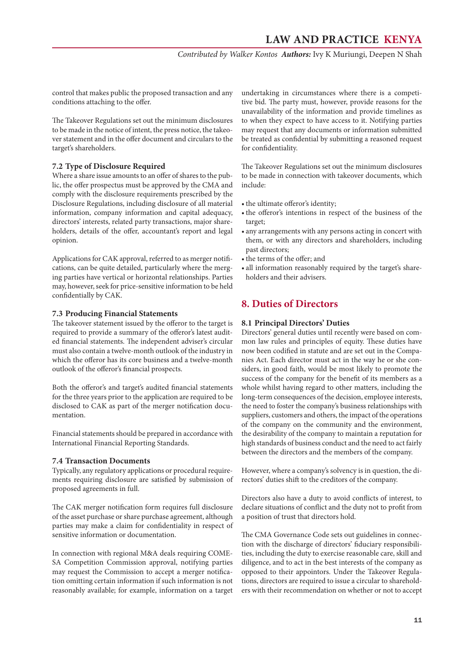*Contributed by Walker Kontos Authors:* Ivy K Muriungi, Deepen N Shah

<span id="page-10-0"></span>control that makes public the proposed transaction and any conditions attaching to the offer.

The Takeover Regulations set out the minimum disclosures to be made in the notice of intent, the press notice, the takeover statement and in the offer document and circulars to the target's shareholders.

#### **7.2 Type of Disclosure Required**

Where a share issue amounts to an offer of shares to the public, the offer prospectus must be approved by the CMA and comply with the disclosure requirements prescribed by the Disclosure Regulations, including disclosure of all material information, company information and capital adequacy, directors' interests, related party transactions, major shareholders, details of the offer, accountant's report and legal opinion.

Applications for CAK approval, referred to as merger notifications, can be quite detailed, particularly where the merging parties have vertical or horizontal relationships. Parties may, however, seek for price-sensitive information to be held confidentially by CAK.

#### **7.3 Producing Financial Statements**

The takeover statement issued by the offeror to the target is required to provide a summary of the offeror's latest audited financial statements. The independent adviser's circular must also contain a twelve-month outlook of the industry in which the offeror has its core business and a twelve-month outlook of the offeror's financial prospects.

Both the offeror's and target's audited financial statements for the three years prior to the application are required to be disclosed to CAK as part of the merger notification documentation.

Financial statements should be prepared in accordance with International Financial Reporting Standards.

#### **7.4 Transaction Documents**

Typically, any regulatory applications or procedural requirements requiring disclosure are satisfied by submission of proposed agreements in full.

The CAK merger notification form requires full disclosure of the asset purchase or share purchase agreement, although parties may make a claim for confidentiality in respect of sensitive information or documentation.

In connection with regional M&A deals requiring COME-SA Competition Commission approval, notifying parties may request the Commission to accept a merger notification omitting certain information if such information is not reasonably available; for example, information on a target

undertaking in circumstances where there is a competitive bid. The party must, however, provide reasons for the unavailability of the information and provide timelines as to when they expect to have access to it. Notifying parties may request that any documents or information submitted be treated as confidential by submitting a reasoned request for confidentiality.

The Takeover Regulations set out the minimum disclosures to be made in connection with takeover documents, which include:

- the ultimate offeror's identity;
- the offeror's intentions in respect of the business of the target;
- any arrangements with any persons acting in concert with them, or with any directors and shareholders, including past directors;
- the terms of the offer: and
- all information reasonably required by the target's shareholders and their advisers.

## **8. Duties of Directors**

#### **8.1 Principal Directors' Duties**

Directors' general duties until recently were based on common law rules and principles of equity. These duties have now been codified in statute and are set out in the Companies Act. Each director must act in the way he or she considers, in good faith, would be most likely to promote the success of the company for the benefit of its members as a whole whilst having regard to other matters, including the long-term consequences of the decision, employee interests, the need to foster the company's business relationships with suppliers, customers and others, the impact of the operations of the company on the community and the environment, the desirability of the company to maintain a reputation for high standards of business conduct and the need to act fairly between the directors and the members of the company.

However, where a company's solvency is in question, the directors' duties shift to the creditors of the company.

Directors also have a duty to avoid conflicts of interest, to declare situations of conflict and the duty not to profit from a position of trust that directors hold.

The CMA Governance Code sets out guidelines in connection with the discharge of directors' fiduciary responsibilities, including the duty to exercise reasonable care, skill and diligence, and to act in the best interests of the company as opposed to their appointors. Under the Takeover Regulations, directors are required to issue a circular to shareholders with their recommendation on whether or not to accept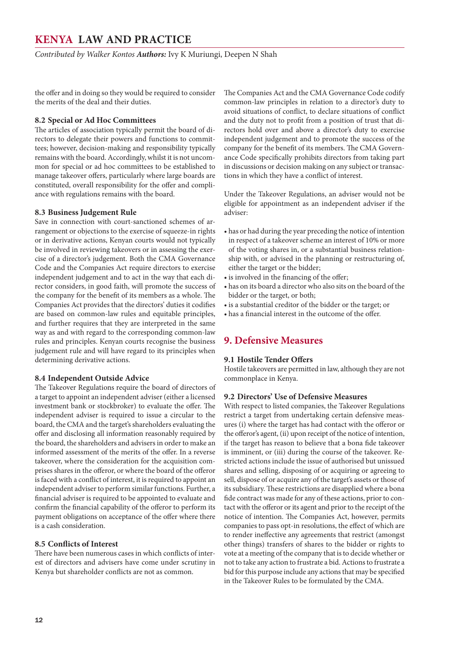<span id="page-11-0"></span>*Contributed by Walker Kontos Authors:* Ivy K Muriungi, Deepen N Shah

the offer and in doing so they would be required to consider the merits of the deal and their duties.

#### **8.2 Special or Ad Hoc Committees**

The articles of association typically permit the board of directors to delegate their powers and functions to committees; however, decision-making and responsibility typically remains with the board. Accordingly, whilst it is not uncommon for special or ad hoc committees to be established to manage takeover offers, particularly where large boards are constituted, overall responsibility for the offer and compliance with regulations remains with the board.

#### **8.3 Business Judgement Rule**

Save in connection with court-sanctioned schemes of arrangement or objections to the exercise of squeeze-in rights or in derivative actions, Kenyan courts would not typically be involved in reviewing takeovers or in assessing the exercise of a director's judgement. Both the CMA Governance Code and the Companies Act require directors to exercise independent judgement and to act in the way that each director considers, in good faith, will promote the success of the company for the benefit of its members as a whole. The Companies Act provides that the directors' duties it codifies are based on common-law rules and equitable principles, and further requires that they are interpreted in the same way as and with regard to the corresponding common-law rules and principles. Kenyan courts recognise the business judgement rule and will have regard to its principles when determining derivative actions.

#### **8.4 Independent Outside Advice**

The Takeover Regulations require the board of directors of a target to appoint an independent adviser (either a licensed investment bank or stockbroker) to evaluate the offer. The independent adviser is required to issue a circular to the board, the CMA and the target's shareholders evaluating the offer and disclosing all information reasonably required by the board, the shareholders and advisers in order to make an informed assessment of the merits of the offer. In a reverse takeover, where the consideration for the acquisition comprises shares in the offeror, or where the board of the offeror is faced with a conflict of interest, it is required to appoint an independent adviser to perform similar functions. Further, a financial adviser is required to be appointed to evaluate and confirm the financial capability of the offeror to perform its payment obligations on acceptance of the offer where there is a cash consideration.

#### **8.5 Conflicts of Interest**

There have been numerous cases in which conflicts of interest of directors and advisers have come under scrutiny in Kenya but shareholder conflicts are not as common.

The Companies Act and the CMA Governance Code codify common-law principles in relation to a director's duty to avoid situations of conflict, to declare situations of conflict and the duty not to profit from a position of trust that directors hold over and above a director's duty to exercise independent judgement and to promote the success of the company for the benefit of its members. The CMA Governance Code specifically prohibits directors from taking part in discussions or decision making on any subject or transactions in which they have a conflict of interest.

Under the Takeover Regulations, an adviser would not be eligible for appointment as an independent adviser if the adviser:

- • has or had during the year preceding the notice of intention in respect of a takeover scheme an interest of 10% or more of the voting shares in, or a substantial business relationship with, or advised in the planning or restructuring of, either the target or the bidder;
- is involved in the financing of the offer;
- • has on its board a director who also sits on the board of the bidder or the target, or both;
- • is a substantial creditor of the bidder or the target; or
- has a financial interest in the outcome of the offer.

#### **9. Defensive Measures**

#### **9.1 Hostile Tender Offers**

Hostile takeovers are permitted in law, although they are not commonplace in Kenya.

#### **9.2 Directors' Use of Defensive Measures**

With respect to listed companies, the Takeover Regulations restrict a target from undertaking certain defensive measures (i) where the target has had contact with the offeror or the offeror's agent, (ii) upon receipt of the notice of intention, if the target has reason to believe that a bona fide takeover is imminent, or (iii) during the course of the takeover. Restricted actions include the issue of authorised but unissued shares and selling, disposing of or acquiring or agreeing to sell, dispose of or acquire any of the target's assets or those of its subsidiary. These restrictions are disapplied where a bona fide contract was made for any of these actions, prior to contact with the offeror or its agent and prior to the receipt of the notice of intention. The Companies Act, however, permits companies to pass opt-in resolutions, the effect of which are to render ineffective any agreements that restrict (amongst other things) transfers of shares to the bidder or rights to vote at a meeting of the company that is to decide whether or not to take any action to frustrate a bid. Actions to frustrate a bid for this purpose include any actions that may be specified in the Takeover Rules to be formulated by the CMA.